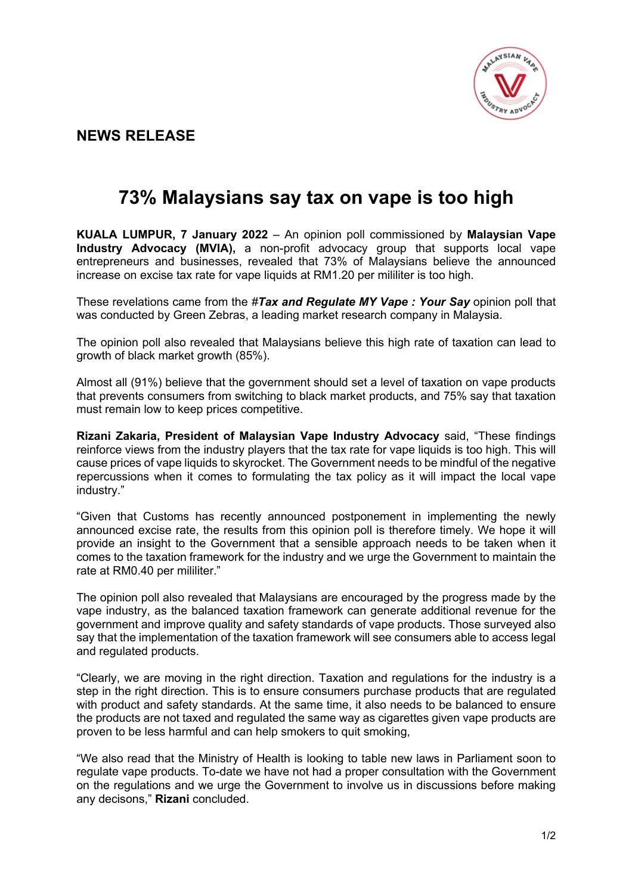

## **NEWS RELEASE**

## **73% Malaysians say tax on vape is too high**

**KUALA LUMPUR, 7 January 2022** – An opinion poll commissioned by **Malaysian Vape Industry Advocacy (MVIA),** a non-profit advocacy group that supports local vape entrepreneurs and businesses, revealed that 73% of Malaysians believe the announced increase on excise tax rate for vape liquids at RM1.20 per mililiter is too high.

These revelations came from the *#Tax and Regulate MY Vape : Your Say* opinion poll that was conducted by Green Zebras, a leading market research company in Malaysia.

The opinion poll also revealed that Malaysians believe this high rate of taxation can lead to growth of black market growth (85%).

Almost all (91%) believe that the government should set a level of taxation on vape products that prevents consumers from switching to black market products, and 75% say that taxation must remain low to keep prices competitive.

**Rizani Zakaria, President of Malaysian Vape Industry Advocacy** said, "These findings reinforce views from the industry players that the tax rate for vape liquids is too high. This will cause prices of vape liquids to skyrocket. The Government needs to be mindful of the negative repercussions when it comes to formulating the tax policy as it will impact the local vape industry."

"Given that Customs has recently announced postponement in implementing the newly announced excise rate, the results from this opinion poll is therefore timely. We hope it will provide an insight to the Government that a sensible approach needs to be taken when it comes to the taxation framework for the industry and we urge the Government to maintain the rate at RM0.40 per mililiter."

The opinion poll also revealed that Malaysians are encouraged by the progress made by the vape industry, as the balanced taxation framework can generate additional revenue for the government and improve quality and safety standards of vape products. Those surveyed also say that the implementation of the taxation framework will see consumers able to access legal and regulated products.

"Clearly, we are moving in the right direction. Taxation and regulations for the industry is a step in the right direction. This is to ensure consumers purchase products that are regulated with product and safety standards. At the same time, it also needs to be balanced to ensure the products are not taxed and regulated the same way as cigarettes given vape products are proven to be less harmful and can help smokers to quit smoking,

"We also read that the Ministry of Health is looking to table new laws in Parliament soon to regulate vape products. To-date we have not had a proper consultation with the Government on the regulations and we urge the Government to involve us in discussions before making any decisons," **Rizani** concluded.